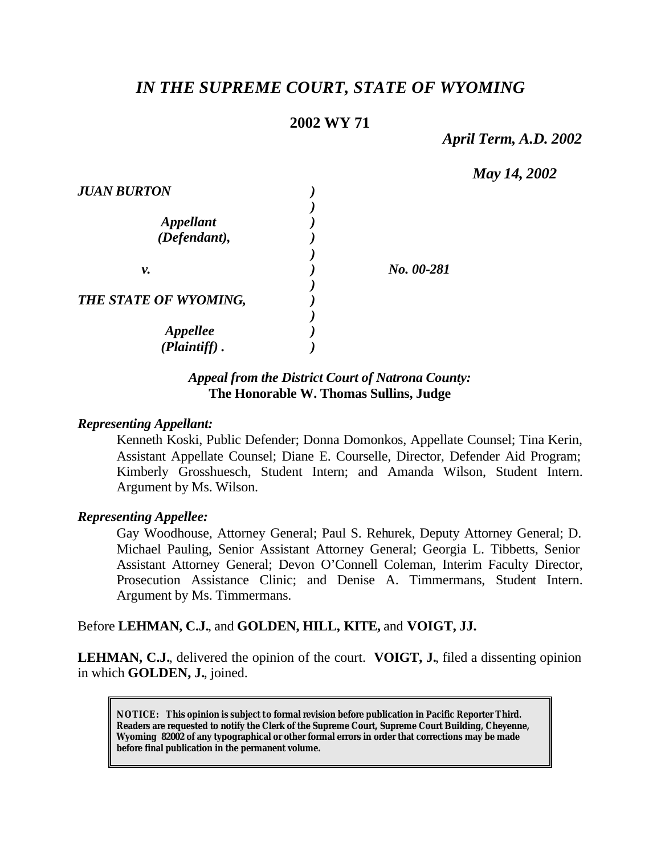# *IN THE SUPREME COURT, STATE OF WYOMING*

## **2002 WY 71**

*April Term, A.D. 2002*

*May 14, 2002*

| <b>JUAN BURTON</b>               |            |
|----------------------------------|------------|
| <b>Appellant</b><br>(Defendant), |            |
| ν.                               | No. 00-281 |
| THE STATE OF WYOMING,            |            |
| Appellee<br>$(Plaintiff)$ .      |            |

## *Appeal from the District Court of Natrona County:* **The Honorable W. Thomas Sullins, Judge**

#### *Representing Appellant:*

Kenneth Koski, Public Defender; Donna Domonkos, Appellate Counsel; Tina Kerin, Assistant Appellate Counsel; Diane E. Courselle, Director, Defender Aid Program; Kimberly Grosshuesch, Student Intern; and Amanda Wilson, Student Intern. Argument by Ms. Wilson.

#### *Representing Appellee:*

Gay Woodhouse, Attorney General; Paul S. Rehurek, Deputy Attorney General; D. Michael Pauling, Senior Assistant Attorney General; Georgia L. Tibbetts, Senior Assistant Attorney General; Devon O'Connell Coleman, Interim Faculty Director, Prosecution Assistance Clinic; and Denise A. Timmermans, Student Intern. Argument by Ms. Timmermans.

#### Before **LEHMAN, C.J.**, and **GOLDEN, HILL, KITE,** and **VOIGT, JJ.**

**LEHMAN, C.J.**, delivered the opinion of the court. **VOIGT, J.**, filed a dissenting opinion in which **GOLDEN, J.**, joined.

**NOTICE:** *This opinion is subject to formal revision before publication in Pacific Reporter Third. Readers are requested to notify the Clerk of the Supreme Court, Supreme Court Building, Cheyenne, Wyoming 82002 of any typographical or other formal errors in order that corrections may be made before final publication in the permanent volume.*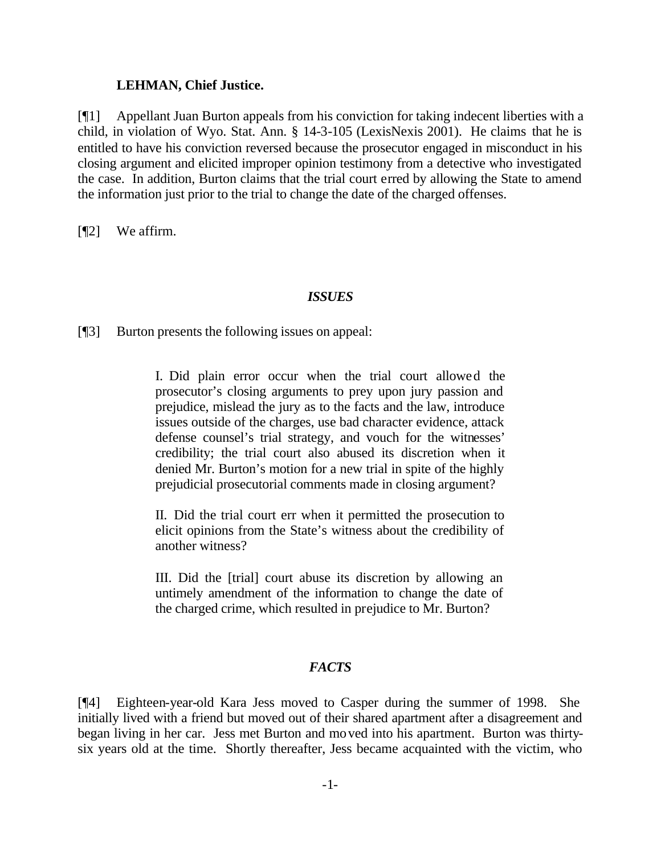#### **LEHMAN, Chief Justice.**

[¶1] Appellant Juan Burton appeals from his conviction for taking indecent liberties with a child, in violation of Wyo. Stat. Ann. § 14-3-105 (LexisNexis 2001). He claims that he is entitled to have his conviction reversed because the prosecutor engaged in misconduct in his closing argument and elicited improper opinion testimony from a detective who investigated the case. In addition, Burton claims that the trial court erred by allowing the State to amend the information just prior to the trial to change the date of the charged offenses.

[¶2] We affirm.

#### *ISSUES*

[¶3] Burton presents the following issues on appeal:

I. Did plain error occur when the trial court allowed the prosecutor's closing arguments to prey upon jury passion and prejudice, mislead the jury as to the facts and the law, introduce issues outside of the charges, use bad character evidence, attack defense counsel's trial strategy, and vouch for the witnesses' credibility; the trial court also abused its discretion when it denied Mr. Burton's motion for a new trial in spite of the highly prejudicial prosecutorial comments made in closing argument?

II. Did the trial court err when it permitted the prosecution to elicit opinions from the State's witness about the credibility of another witness?

III. Did the [trial] court abuse its discretion by allowing an untimely amendment of the information to change the date of the charged crime, which resulted in prejudice to Mr. Burton?

## *FACTS*

[¶4] Eighteen-year-old Kara Jess moved to Casper during the summer of 1998. She initially lived with a friend but moved out of their shared apartment after a disagreement and began living in her car. Jess met Burton and moved into his apartment. Burton was thirtysix years old at the time. Shortly thereafter, Jess became acquainted with the victim, who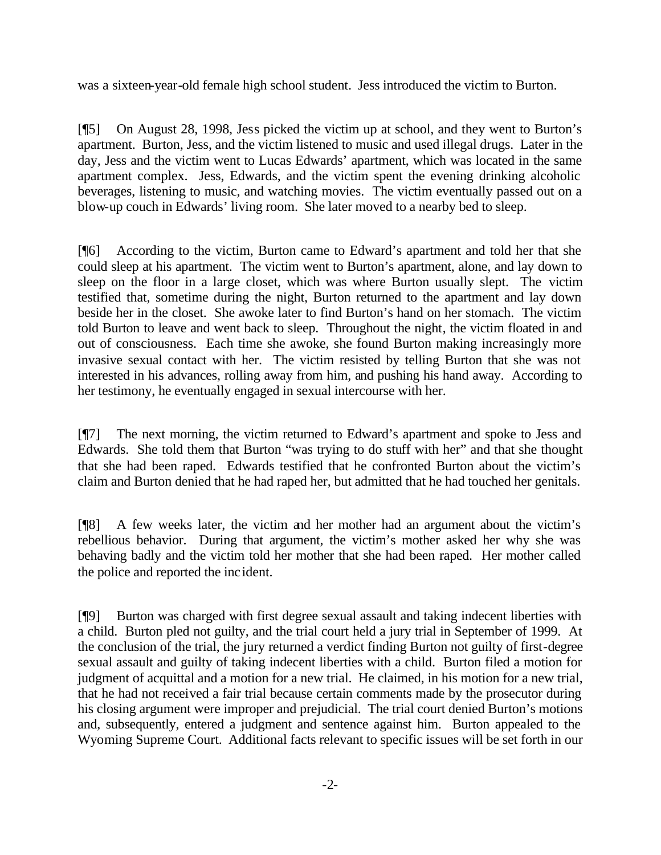was a sixteen-year-old female high school student. Jess introduced the victim to Burton.

[¶5] On August 28, 1998, Jess picked the victim up at school, and they went to Burton's apartment. Burton, Jess, and the victim listened to music and used illegal drugs. Later in the day, Jess and the victim went to Lucas Edwards' apartment, which was located in the same apartment complex. Jess, Edwards, and the victim spent the evening drinking alcoholic beverages, listening to music, and watching movies. The victim eventually passed out on a blow-up couch in Edwards' living room. She later moved to a nearby bed to sleep.

[¶6] According to the victim, Burton came to Edward's apartment and told her that she could sleep at his apartment. The victim went to Burton's apartment, alone, and lay down to sleep on the floor in a large closet, which was where Burton usually slept. The victim testified that, sometime during the night, Burton returned to the apartment and lay down beside her in the closet. She awoke later to find Burton's hand on her stomach. The victim told Burton to leave and went back to sleep. Throughout the night, the victim floated in and out of consciousness. Each time she awoke, she found Burton making increasingly more invasive sexual contact with her. The victim resisted by telling Burton that she was not interested in his advances, rolling away from him, and pushing his hand away. According to her testimony, he eventually engaged in sexual intercourse with her.

[¶7] The next morning, the victim returned to Edward's apartment and spoke to Jess and Edwards. She told them that Burton "was trying to do stuff with her" and that she thought that she had been raped. Edwards testified that he confronted Burton about the victim's claim and Burton denied that he had raped her, but admitted that he had touched her genitals.

[¶8] A few weeks later, the victim and her mother had an argument about the victim's rebellious behavior. During that argument, the victim's mother asked her why she was behaving badly and the victim told her mother that she had been raped. Her mother called the police and reported the incident.

[¶9] Burton was charged with first degree sexual assault and taking indecent liberties with a child. Burton pled not guilty, and the trial court held a jury trial in September of 1999. At the conclusion of the trial, the jury returned a verdict finding Burton not guilty of first-degree sexual assault and guilty of taking indecent liberties with a child. Burton filed a motion for judgment of acquittal and a motion for a new trial. He claimed, in his motion for a new trial, that he had not received a fair trial because certain comments made by the prosecutor during his closing argument were improper and prejudicial. The trial court denied Burton's motions and, subsequently, entered a judgment and sentence against him. Burton appealed to the Wyoming Supreme Court. Additional facts relevant to specific issues will be set forth in our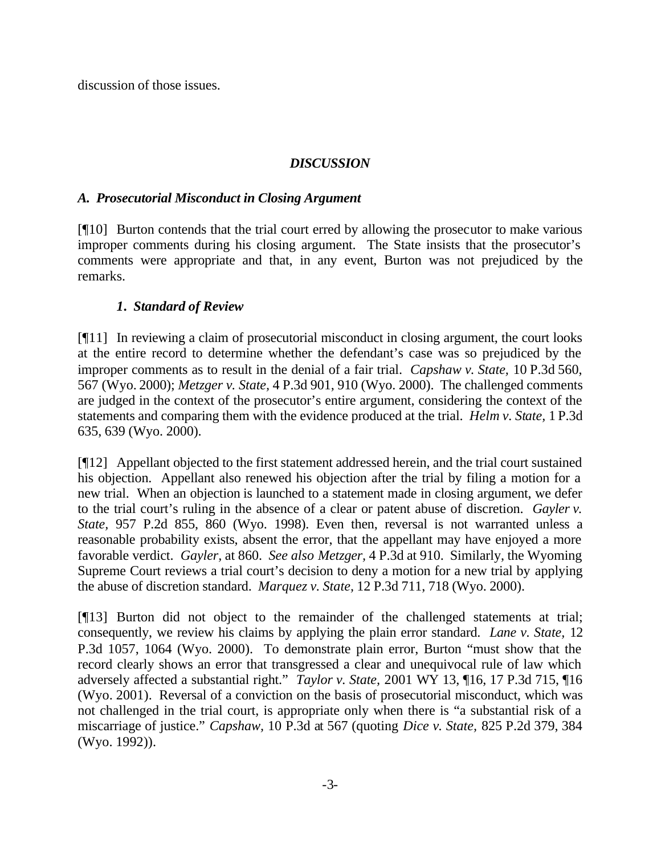discussion of those issues.

## *DISCUSSION*

## *A. Prosecutorial Misconduct in Closing Argument*

[¶10] Burton contends that the trial court erred by allowing the prosecutor to make various improper comments during his closing argument. The State insists that the prosecutor's comments were appropriate and that, in any event, Burton was not prejudiced by the remarks.

## *1. Standard of Review*

[¶11] In reviewing a claim of prosecutorial misconduct in closing argument, the court looks at the entire record to determine whether the defendant's case was so prejudiced by the improper comments as to result in the denial of a fair trial. *Capshaw v. State,* 10 P.3d 560, 567 (Wyo. 2000); *Metzger v. State,* 4 P.3d 901, 910 (Wyo. 2000). The challenged comments are judged in the context of the prosecutor's entire argument, considering the context of the statements and comparing them with the evidence produced at the trial. *Helm v. State,* 1 P.3d 635, 639 (Wyo. 2000).

[¶12] Appellant objected to the first statement addressed herein, and the trial court sustained his objection. Appellant also renewed his objection after the trial by filing a motion for a new trial. When an objection is launched to a statement made in closing argument, we defer to the trial court's ruling in the absence of a clear or patent abuse of discretion. *Gayler v. State,* 957 P.2d 855, 860 (Wyo. 1998). Even then, reversal is not warranted unless a reasonable probability exists, absent the error, that the appellant may have enjoyed a more favorable verdict. *Gayler,* at 860. *See also Metzger,* 4 P.3d at 910. Similarly, the Wyoming Supreme Court reviews a trial court's decision to deny a motion for a new trial by applying the abuse of discretion standard. *Marquez v. State,* 12 P.3d 711, 718 (Wyo. 2000).

[¶13] Burton did not object to the remainder of the challenged statements at trial; consequently, we review his claims by applying the plain error standard. *Lane v. State,* 12 P.3d 1057, 1064 (Wyo. 2000). To demonstrate plain error, Burton "must show that the record clearly shows an error that transgressed a clear and unequivocal rule of law which adversely affected a substantial right." *Taylor v. State,* 2001 WY 13, ¶16, 17 P.3d 715, ¶16 (Wyo. 2001). Reversal of a conviction on the basis of prosecutorial misconduct, which was not challenged in the trial court, is appropriate only when there is "a substantial risk of a miscarriage of justice." *Capshaw,* 10 P.3d at 567 (quoting *Dice v. State,* 825 P.2d 379, 384 (Wyo. 1992)).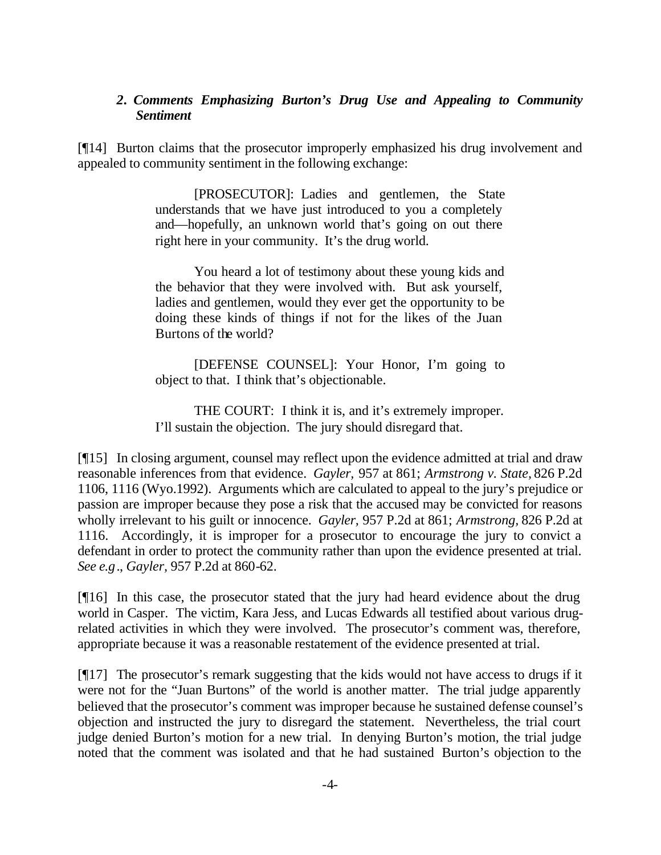#### *2. Comments Emphasizing Burton's Drug Use and Appealing to Community Sentiment*

[¶14] Burton claims that the prosecutor improperly emphasized his drug involvement and appealed to community sentiment in the following exchange:

> [PROSECUTOR]: Ladies and gentlemen, the State understands that we have just introduced to you a completely and—hopefully, an unknown world that's going on out there right here in your community. It's the drug world.

> You heard a lot of testimony about these young kids and the behavior that they were involved with. But ask yourself, ladies and gentlemen, would they ever get the opportunity to be doing these kinds of things if not for the likes of the Juan Burtons of the world?

> [DEFENSE COUNSEL]: Your Honor, I'm going to object to that. I think that's objectionable.

> THE COURT: I think it is, and it's extremely improper. I'll sustain the objection. The jury should disregard that.

[¶15] In closing argument, counsel may reflect upon the evidence admitted at trial and draw reasonable inferences from that evidence. *Gayler,* 957 at 861; *Armstrong v. State,* 826 P.2d 1106, 1116 (Wyo.1992). Arguments which are calculated to appeal to the jury's prejudice or passion are improper because they pose a risk that the accused may be convicted for reasons wholly irrelevant to his guilt or innocence. *Gayler,* 957 P.2d at 861; *Armstrong,* 826 P.2d at 1116. Accordingly, it is improper for a prosecutor to encourage the jury to convict a defendant in order to protect the community rather than upon the evidence presented at trial. *See e.g*., *Gayler,* 957 P.2d at 860-62.

[¶16] In this case, the prosecutor stated that the jury had heard evidence about the drug world in Casper. The victim, Kara Jess, and Lucas Edwards all testified about various drugrelated activities in which they were involved. The prosecutor's comment was, therefore, appropriate because it was a reasonable restatement of the evidence presented at trial.

[¶17] The prosecutor's remark suggesting that the kids would not have access to drugs if it were not for the "Juan Burtons" of the world is another matter. The trial judge apparently believed that the prosecutor's comment was improper because he sustained defense counsel's objection and instructed the jury to disregard the statement. Nevertheless, the trial court judge denied Burton's motion for a new trial. In denying Burton's motion, the trial judge noted that the comment was isolated and that he had sustained Burton's objection to the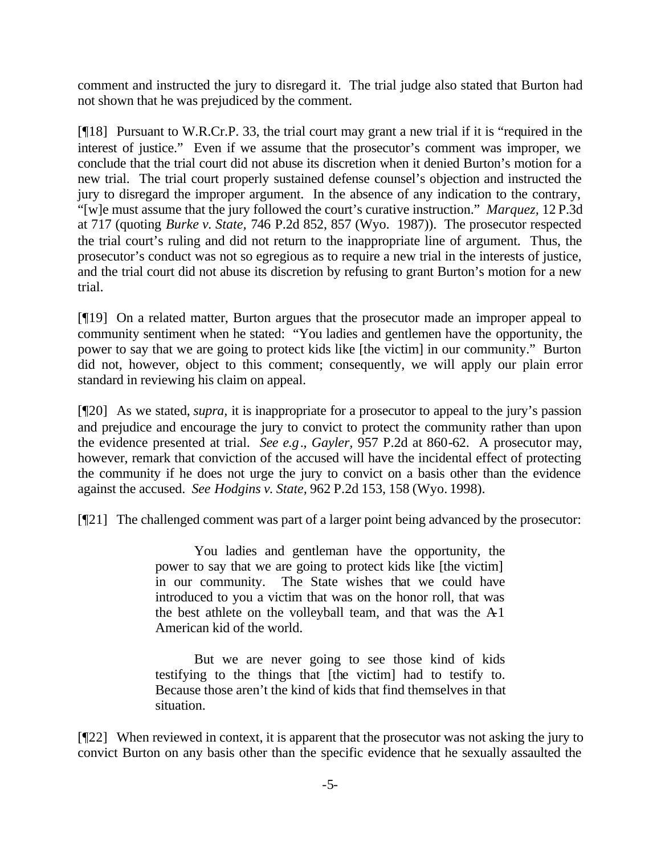comment and instructed the jury to disregard it. The trial judge also stated that Burton had not shown that he was prejudiced by the comment.

[¶18] Pursuant to W.R.Cr.P. 33, the trial court may grant a new trial if it is "required in the interest of justice." Even if we assume that the prosecutor's comment was improper, we conclude that the trial court did not abuse its discretion when it denied Burton's motion for a new trial. The trial court properly sustained defense counsel's objection and instructed the jury to disregard the improper argument. In the absence of any indication to the contrary, "[w]e must assume that the jury followed the court's curative instruction." *Marquez,* 12 P.3d at 717 (quoting *Burke v. State,* 746 P.2d 852, 857 (Wyo. 1987)). The prosecutor respected the trial court's ruling and did not return to the inappropriate line of argument. Thus, the prosecutor's conduct was not so egregious as to require a new trial in the interests of justice, and the trial court did not abuse its discretion by refusing to grant Burton's motion for a new trial.

[¶19] On a related matter, Burton argues that the prosecutor made an improper appeal to community sentiment when he stated: "You ladies and gentlemen have the opportunity, the power to say that we are going to protect kids like [the victim] in our community." Burton did not, however, object to this comment; consequently, we will apply our plain error standard in reviewing his claim on appeal.

[¶20] As we stated, *supra,* it is inappropriate for a prosecutor to appeal to the jury's passion and prejudice and encourage the jury to convict to protect the community rather than upon the evidence presented at trial. *See e.g*., *Gayler,* 957 P.2d at 860-62. A prosecutor may, however, remark that conviction of the accused will have the incidental effect of protecting the community if he does not urge the jury to convict on a basis other than the evidence against the accused. *See Hodgins v. State,* 962 P.2d 153, 158 (Wyo. 1998).

[¶21] The challenged comment was part of a larger point being advanced by the prosecutor:

You ladies and gentleman have the opportunity, the power to say that we are going to protect kids like [the victim] in our community. The State wishes that we could have introduced to you a victim that was on the honor roll, that was the best athlete on the volleyball team, and that was the A1 American kid of the world.

But we are never going to see those kind of kids testifying to the things that [the victim] had to testify to. Because those aren't the kind of kids that find themselves in that situation.

[¶22] When reviewed in context, it is apparent that the prosecutor was not asking the jury to convict Burton on any basis other than the specific evidence that he sexually assaulted the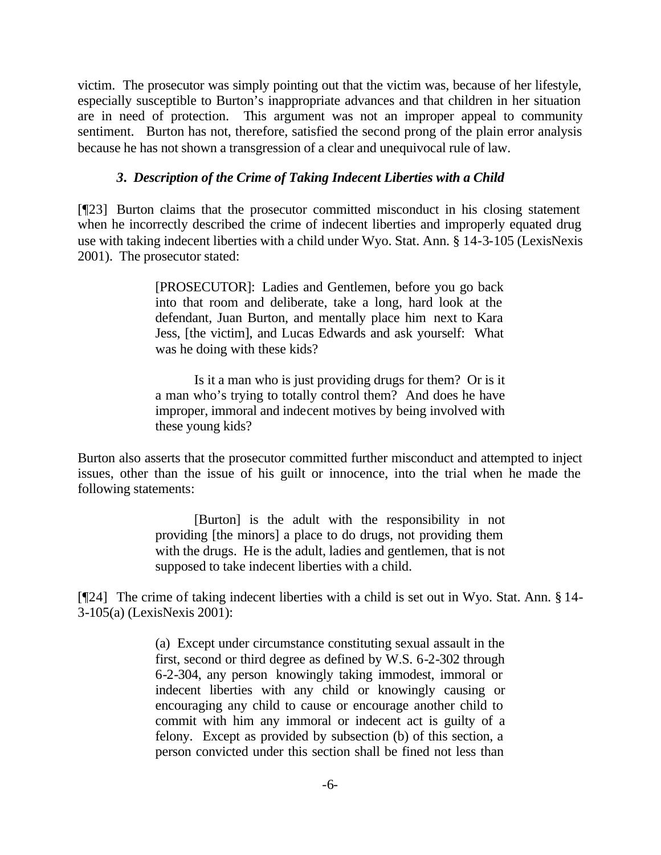victim. The prosecutor was simply pointing out that the victim was, because of her lifestyle, especially susceptible to Burton's inappropriate advances and that children in her situation are in need of protection. This argument was not an improper appeal to community sentiment. Burton has not, therefore, satisfied the second prong of the plain error analysis because he has not shown a transgression of a clear and unequivocal rule of law.

## *3. Description of the Crime of Taking Indecent Liberties with a Child*

[¶23] Burton claims that the prosecutor committed misconduct in his closing statement when he incorrectly described the crime of indecent liberties and improperly equated drug use with taking indecent liberties with a child under Wyo. Stat. Ann. § 14-3-105 (LexisNexis 2001). The prosecutor stated:

> [PROSECUTOR]: Ladies and Gentlemen, before you go back into that room and deliberate, take a long, hard look at the defendant, Juan Burton, and mentally place him next to Kara Jess, [the victim], and Lucas Edwards and ask yourself: What was he doing with these kids?

> Is it a man who is just providing drugs for them? Or is it a man who's trying to totally control them? And does he have improper, immoral and indecent motives by being involved with these young kids?

Burton also asserts that the prosecutor committed further misconduct and attempted to inject issues, other than the issue of his guilt or innocence, into the trial when he made the following statements:

> [Burton] is the adult with the responsibility in not providing [the minors] a place to do drugs, not providing them with the drugs. He is the adult, ladies and gentlemen, that is not supposed to take indecent liberties with a child.

[¶24] The crime of taking indecent liberties with a child is set out in Wyo. Stat. Ann. § 14- 3-105(a) (LexisNexis 2001):

> (a) Except under circumstance constituting sexual assault in the first, second or third degree as defined by W.S. 6-2-302 through 6-2-304, any person knowingly taking immodest, immoral or indecent liberties with any child or knowingly causing or encouraging any child to cause or encourage another child to commit with him any immoral or indecent act is guilty of a felony. Except as provided by subsection (b) of this section, a person convicted under this section shall be fined not less than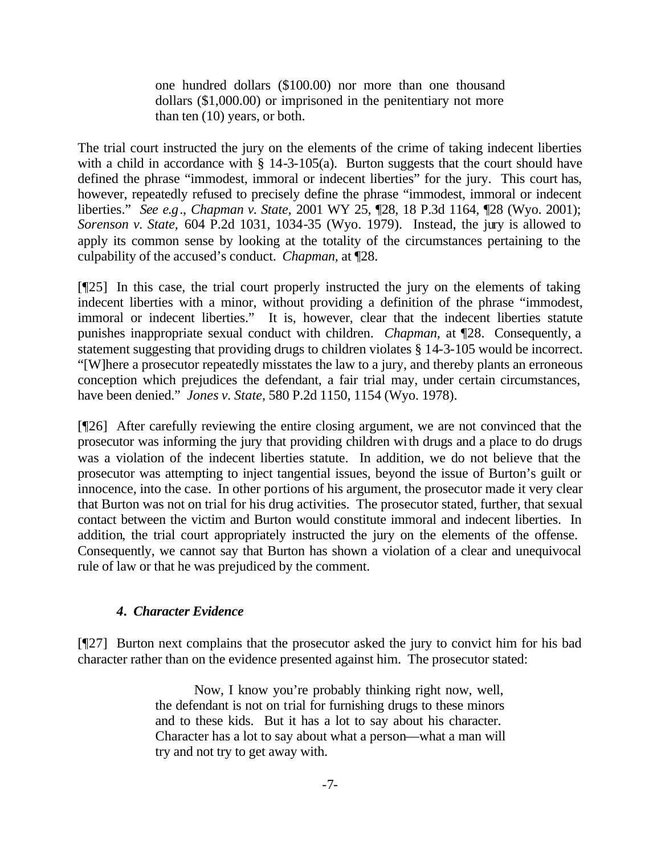one hundred dollars (\$100.00) nor more than one thousand dollars (\$1,000.00) or imprisoned in the penitentiary not more than ten (10) years, or both.

The trial court instructed the jury on the elements of the crime of taking indecent liberties with a child in accordance with  $\S$  14-3-105(a). Burton suggests that the court should have defined the phrase "immodest, immoral or indecent liberties" for the jury. This court has, however, repeatedly refused to precisely define the phrase "immodest, immoral or indecent liberties." *See e.g*., *Chapman v. State,* 2001 WY 25, ¶28, 18 P.3d 1164, ¶28 (Wyo. 2001); *Sorenson v. State,* 604 P.2d 1031, 1034-35 (Wyo. 1979). Instead, the jury is allowed to apply its common sense by looking at the totality of the circumstances pertaining to the culpability of the accused's conduct. *Chapman,* at ¶28.

[¶25] In this case, the trial court properly instructed the jury on the elements of taking indecent liberties with a minor, without providing a definition of the phrase "immodest, immoral or indecent liberties." It is, however, clear that the indecent liberties statute punishes inappropriate sexual conduct with children. *Chapman,* at ¶28.Consequently, a statement suggesting that providing drugs to children violates § 14-3-105 would be incorrect. "[W]here a prosecutor repeatedly misstates the law to a jury, and thereby plants an erroneous conception which prejudices the defendant, a fair trial may, under certain circumstances, have been denied." *Jones v. State,* 580 P.2d 1150, 1154 (Wyo. 1978).

[¶26] After carefully reviewing the entire closing argument, we are not convinced that the prosecutor was informing the jury that providing children with drugs and a place to do drugs was a violation of the indecent liberties statute. In addition, we do not believe that the prosecutor was attempting to inject tangential issues, beyond the issue of Burton's guilt or innocence, into the case. In other portions of his argument, the prosecutor made it very clear that Burton was not on trial for his drug activities. The prosecutor stated, further, that sexual contact between the victim and Burton would constitute immoral and indecent liberties. In addition, the trial court appropriately instructed the jury on the elements of the offense. Consequently, we cannot say that Burton has shown a violation of a clear and unequivocal rule of law or that he was prejudiced by the comment.

### *4. Character Evidence*

[¶27] Burton next complains that the prosecutor asked the jury to convict him for his bad character rather than on the evidence presented against him. The prosecutor stated:

> Now, I know you're probably thinking right now, well, the defendant is not on trial for furnishing drugs to these minors and to these kids. But it has a lot to say about his character. Character has a lot to say about what a person—what a man will try and not try to get away with.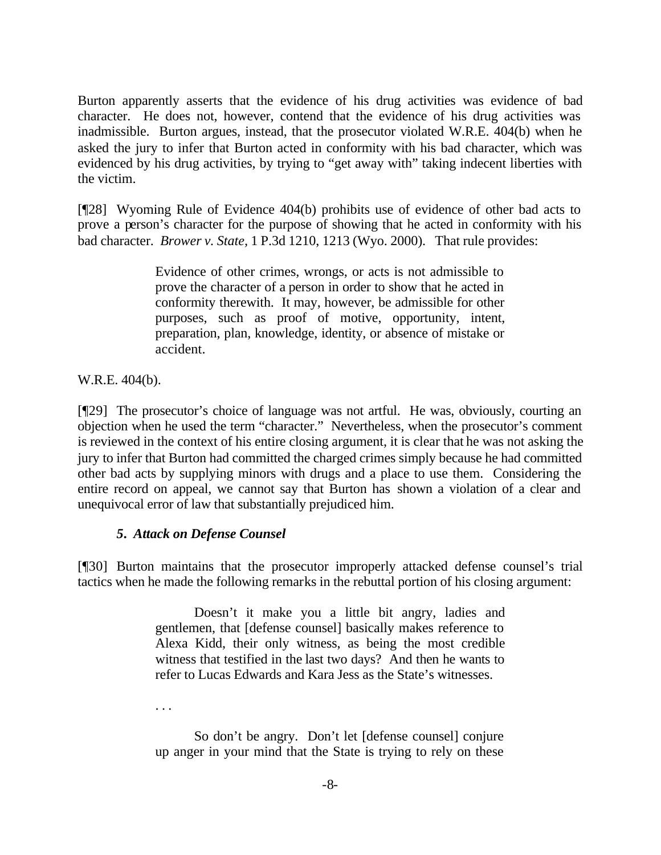Burton apparently asserts that the evidence of his drug activities was evidence of bad character. He does not, however, contend that the evidence of his drug activities was inadmissible. Burton argues, instead, that the prosecutor violated W.R.E. 404(b) when he asked the jury to infer that Burton acted in conformity with his bad character, which was evidenced by his drug activities, by trying to "get away with" taking indecent liberties with the victim.

[¶28] Wyoming Rule of Evidence 404(b) prohibits use of evidence of other bad acts to prove a person's character for the purpose of showing that he acted in conformity with his bad character. *Brower v. State,* 1 P.3d 1210, 1213 (Wyo. 2000). That rule provides:

> Evidence of other crimes, wrongs, or acts is not admissible to prove the character of a person in order to show that he acted in conformity therewith. It may, however, be admissible for other purposes, such as proof of motive, opportunity, intent, preparation, plan, knowledge, identity, or absence of mistake or accident.

W.R.E. 404(b).

[¶29] The prosecutor's choice of language was not artful. He was, obviously, courting an objection when he used the term "character." Nevertheless, when the prosecutor's comment is reviewed in the context of his entire closing argument, it is clear that he was not asking the jury to infer that Burton had committed the charged crimes simply because he had committed other bad acts by supplying minors with drugs and a place to use them. Considering the entire record on appeal, we cannot say that Burton has shown a violation of a clear and unequivocal error of law that substantially prejudiced him.

## *5. Attack on Defense Counsel*

[¶30] Burton maintains that the prosecutor improperly attacked defense counsel's trial tactics when he made the following remarks in the rebuttal portion of his closing argument:

> Doesn't it make you a little bit angry, ladies and gentlemen, that [defense counsel] basically makes reference to Alexa Kidd, their only witness, as being the most credible witness that testified in the last two days? And then he wants to refer to Lucas Edwards and Kara Jess as the State's witnesses.

. . .

So don't be angry. Don't let [defense counsel] conjure up anger in your mind that the State is trying to rely on these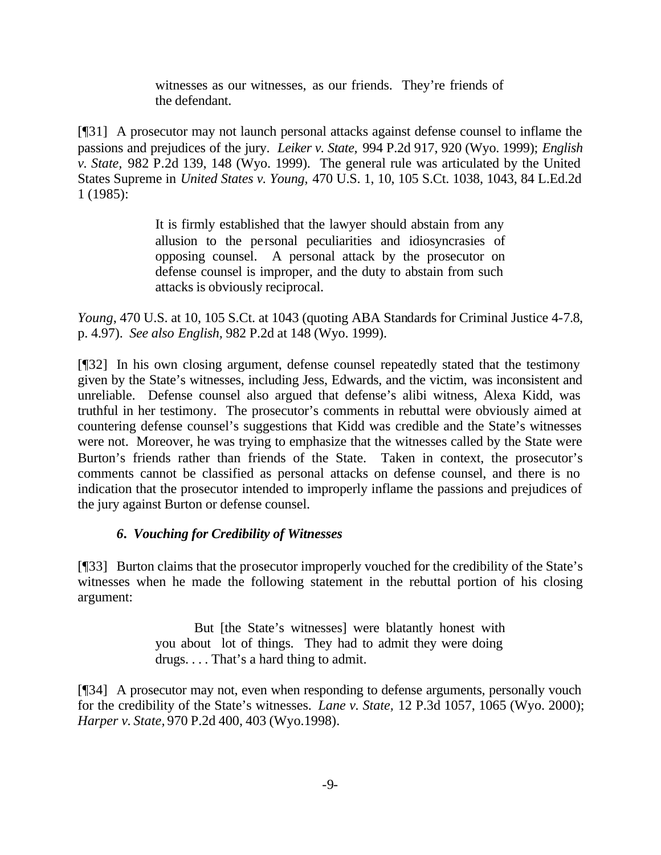witnesses as our witnesses, as our friends. They're friends of the defendant.

[¶31] A prosecutor may not launch personal attacks against defense counsel to inflame the passions and prejudices of the jury. *Leiker v. State,* 994 P.2d 917, 920 (Wyo. 1999); *English v. State,* 982 P.2d 139, 148 (Wyo. 1999). The general rule was articulated by the United States Supreme in *United States v. Young,* 470 U.S. 1, 10, 105 S.Ct. 1038, 1043, 84 L.Ed.2d 1 (1985):

> It is firmly established that the lawyer should abstain from any allusion to the personal peculiarities and idiosyncrasies of opposing counsel. A personal attack by the prosecutor on defense counsel is improper, and the duty to abstain from such attacks is obviously reciprocal.

*Young*, 470 U.S. at 10, 105 S.Ct. at 1043 (quoting ABA Standards for Criminal Justice 4-7.8, p. 4.97). *See also English,* 982 P.2d at 148 (Wyo. 1999).

[¶32] In his own closing argument, defense counsel repeatedly stated that the testimony given by the State's witnesses, including Jess, Edwards, and the victim, was inconsistent and unreliable. Defense counsel also argued that defense's alibi witness, Alexa Kidd, was truthful in her testimony. The prosecutor's comments in rebuttal were obviously aimed at countering defense counsel's suggestions that Kidd was credible and the State's witnesses were not. Moreover, he was trying to emphasize that the witnesses called by the State were Burton's friends rather than friends of the State. Taken in context, the prosecutor's comments cannot be classified as personal attacks on defense counsel, and there is no indication that the prosecutor intended to improperly inflame the passions and prejudices of the jury against Burton or defense counsel.

## *6. Vouching for Credibility of Witnesses*

[¶33] Burton claims that the prosecutor improperly vouched for the credibility of the State's witnesses when he made the following statement in the rebuttal portion of his closing argument:

> But [the State's witnesses] were blatantly honest with you about lot of things. They had to admit they were doing drugs. . . . That's a hard thing to admit.

[¶34] A prosecutor may not, even when responding to defense arguments, personally vouch for the credibility of the State's witnesses. *Lane v. State,* 12 P.3d 1057, 1065 (Wyo. 2000); *Harper v. State,* 970 P.2d 400, 403 (Wyo.1998).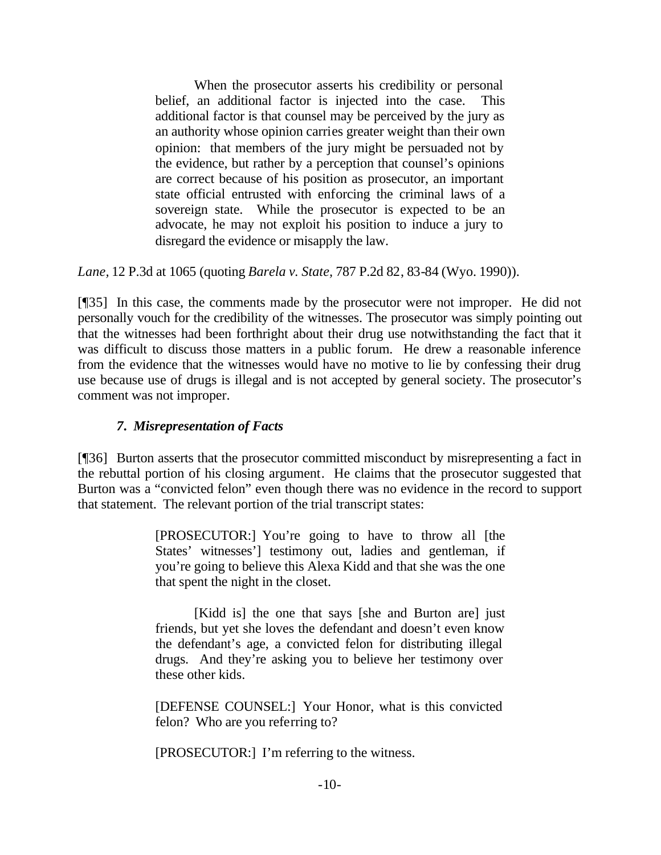When the prosecutor asserts his credibility or personal belief, an additional factor is injected into the case. This additional factor is that counsel may be perceived by the jury as an authority whose opinion carries greater weight than their own opinion: that members of the jury might be persuaded not by the evidence, but rather by a perception that counsel's opinions are correct because of his position as prosecutor, an important state official entrusted with enforcing the criminal laws of a sovereign state. While the prosecutor is expected to be an advocate, he may not exploit his position to induce a jury to disregard the evidence or misapply the law.

*Lane,* 12 P.3d at 1065 (quoting *Barela v. State,* 787 P.2d 82, 83-84 (Wyo. 1990)).

[¶35] In this case, the comments made by the prosecutor were not improper. He did not personally vouch for the credibility of the witnesses. The prosecutor was simply pointing out that the witnesses had been forthright about their drug use notwithstanding the fact that it was difficult to discuss those matters in a public forum. He drew a reasonable inference from the evidence that the witnesses would have no motive to lie by confessing their drug use because use of drugs is illegal and is not accepted by general society. The prosecutor's comment was not improper.

## *7. Misrepresentation of Facts*

[¶36] Burton asserts that the prosecutor committed misconduct by misrepresenting a fact in the rebuttal portion of his closing argument. He claims that the prosecutor suggested that Burton was a "convicted felon" even though there was no evidence in the record to support that statement. The relevant portion of the trial transcript states:

> [PROSECUTOR:] You're going to have to throw all [the States' witnesses'] testimony out, ladies and gentleman, if you're going to believe this Alexa Kidd and that she was the one that spent the night in the closet.

> [Kidd is] the one that says [she and Burton are] just friends, but yet she loves the defendant and doesn't even know the defendant's age, a convicted felon for distributing illegal drugs. And they're asking you to believe her testimony over these other kids.

> [DEFENSE COUNSEL:] Your Honor, what is this convicted felon? Who are you referring to?

[PROSECUTOR:] I'm referring to the witness.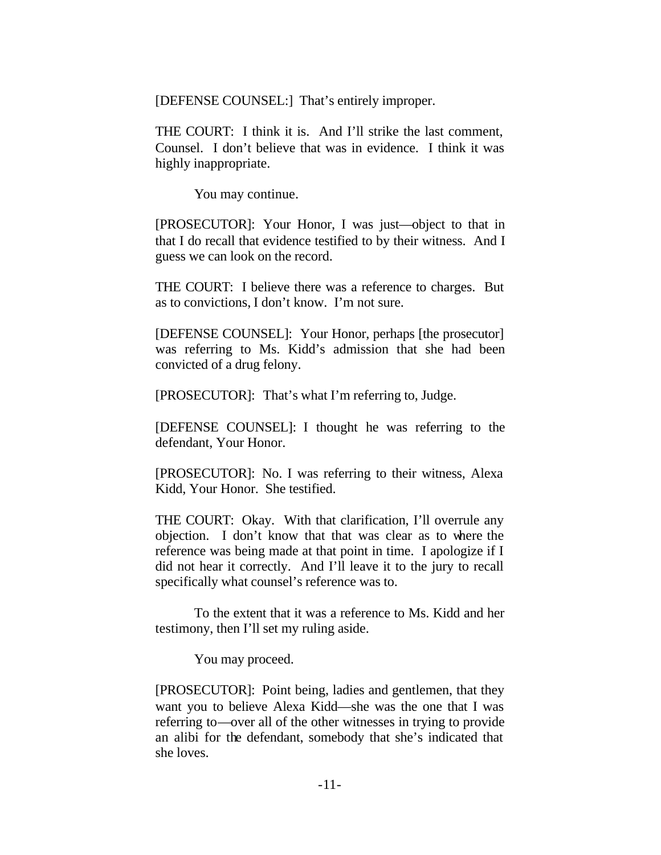[DEFENSE COUNSEL:] That's entirely improper.

THE COURT: I think it is. And I'll strike the last comment, Counsel. I don't believe that was in evidence. I think it was highly inappropriate.

You may continue.

[PROSECUTOR]: Your Honor, I was just—object to that in that I do recall that evidence testified to by their witness. And I guess we can look on the record.

THE COURT: I believe there was a reference to charges. But as to convictions, I don't know. I'm not sure.

[DEFENSE COUNSEL]: Your Honor, perhaps [the prosecutor] was referring to Ms. Kidd's admission that she had been convicted of a drug felony.

[PROSECUTOR]: That's what I'm referring to, Judge.

[DEFENSE COUNSEL]: I thought he was referring to the defendant, Your Honor.

[PROSECUTOR]: No. I was referring to their witness, Alexa Kidd, Your Honor. She testified.

THE COURT: Okay. With that clarification, I'll overrule any objection. I don't know that that was clear as to where the reference was being made at that point in time. I apologize if I did not hear it correctly. And I'll leave it to the jury to recall specifically what counsel's reference was to.

To the extent that it was a reference to Ms. Kidd and her testimony, then I'll set my ruling aside.

You may proceed.

[PROSECUTOR]: Point being, ladies and gentlemen, that they want you to believe Alexa Kidd—she was the one that I was referring to—over all of the other witnesses in trying to provide an alibi for the defendant, somebody that she's indicated that she loves.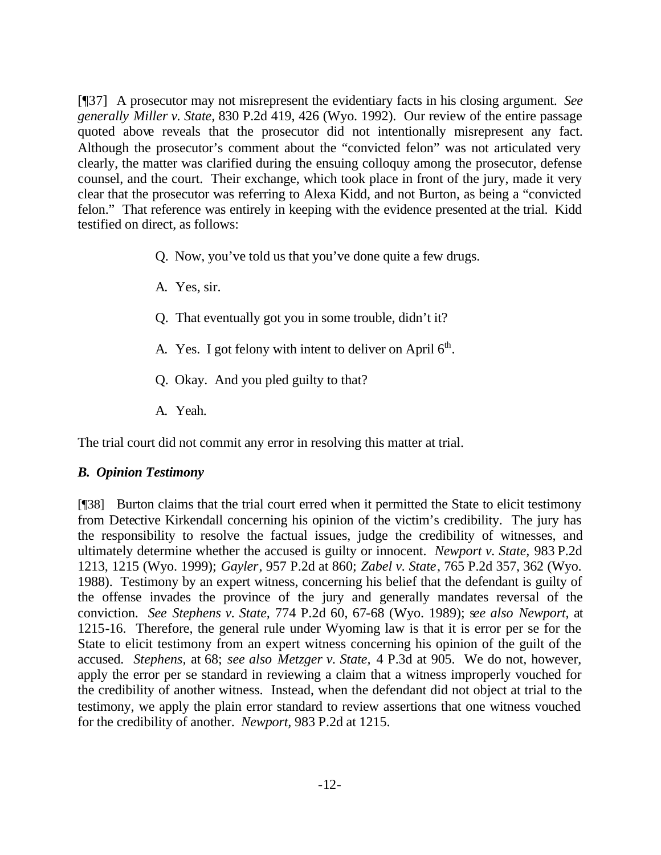[¶37] A prosecutor may not misrepresent the evidentiary facts in his closing argument. *See generally Miller v. State,* 830 P.2d 419, 426 (Wyo. 1992). Our review of the entire passage quoted above reveals that the prosecutor did not intentionally misrepresent any fact. Although the prosecutor's comment about the "convicted felon" was not articulated very clearly, the matter was clarified during the ensuing colloquy among the prosecutor, defense counsel, and the court. Their exchange, which took place in front of the jury, made it very clear that the prosecutor was referring to Alexa Kidd, and not Burton, as being a "convicted felon." That reference was entirely in keeping with the evidence presented at the trial. Kidd testified on direct, as follows:

- Q. Now, you've told us that you've done quite a few drugs.
- A. Yes, sir.
- Q. That eventually got you in some trouble, didn't it?
- A. Yes. I got felony with intent to deliver on April  $6<sup>th</sup>$ .
- Q. Okay. And you pled guilty to that?
- A. Yeah.

The trial court did not commit any error in resolving this matter at trial.

#### *B. Opinion Testimony*

[¶38] Burton claims that the trial court erred when it permitted the State to elicit testimony from Detective Kirkendall concerning his opinion of the victim's credibility. The jury has the responsibility to resolve the factual issues, judge the credibility of witnesses, and ultimately determine whether the accused is guilty or innocent. *Newport v. State,* 983 P.2d 1213, 1215 (Wyo. 1999); *Gayler*, 957 P.2d at 860; *Zabel v. State*, 765 P.2d 357, 362 (Wyo. 1988). Testimony by an expert witness, concerning his belief that the defendant is guilty of the offense invades the province of the jury and generally mandates reversal of the conviction. *See Stephens v. State,* 774 P.2d 60, 67-68 (Wyo. 1989); s*ee also Newport,* at 1215-16. Therefore, the general rule under Wyoming law is that it is error per se for the State to elicit testimony from an expert witness concerning his opinion of the guilt of the accused. *Stephens,* at 68; *see also Metzger v. State,* 4 P.3d at 905. We do not, however, apply the error per se standard in reviewing a claim that a witness improperly vouched for the credibility of another witness. Instead, when the defendant did not object at trial to the testimony, we apply the plain error standard to review assertions that one witness vouched for the credibility of another. *Newport,* 983 P.2d at 1215.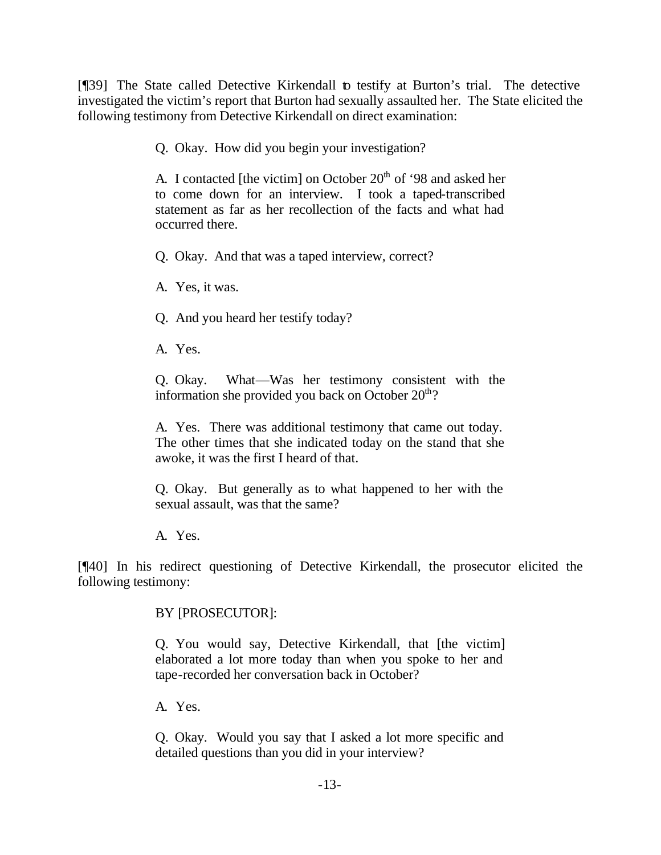[¶39] The State called Detective Kirkendall to testify at Burton's trial. The detective investigated the victim's report that Burton had sexually assaulted her. The State elicited the following testimony from Detective Kirkendall on direct examination:

Q. Okay. How did you begin your investigation?

A. I contacted [the victim] on October  $20<sup>th</sup>$  of '98 and asked her to come down for an interview. I took a taped-transcribed statement as far as her recollection of the facts and what had occurred there.

Q. Okay. And that was a taped interview, correct?

A. Yes, it was.

Q. And you heard her testify today?

A. Yes.

Q. Okay. What—Was her testimony consistent with the information she provided you back on October  $20<sup>th</sup>$ ?

A. Yes. There was additional testimony that came out today. The other times that she indicated today on the stand that she awoke, it was the first I heard of that.

Q. Okay. But generally as to what happened to her with the sexual assault, was that the same?

A. Yes.

[¶40] In his redirect questioning of Detective Kirkendall, the prosecutor elicited the following testimony:

BY [PROSECUTOR]:

Q. You would say, Detective Kirkendall, that [the victim] elaborated a lot more today than when you spoke to her and tape-recorded her conversation back in October?

A. Yes.

Q. Okay. Would you say that I asked a lot more specific and detailed questions than you did in your interview?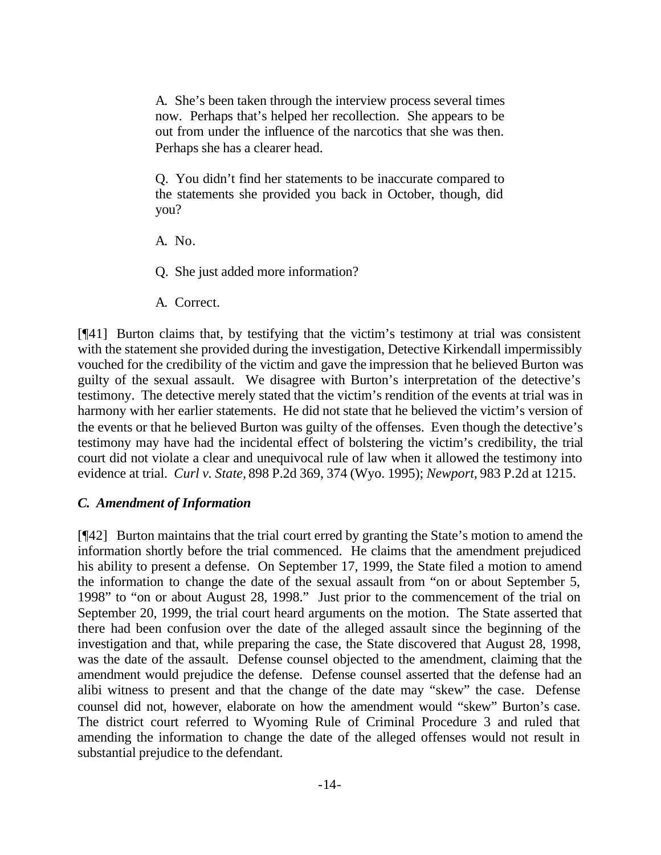A. She's been taken through the interview process several times now. Perhaps that's helped her recollection. She appears to be out from under the influence of the narcotics that she was then. Perhaps she has a clearer head.

Q. You didn't find her statements to be inaccurate compared to the statements she provided you back in October, though, did you?

A. No.

Q. She just added more information?

A. Correct.

[¶41] Burton claims that, by testifying that the victim's testimony at trial was consistent with the statement she provided during the investigation, Detective Kirkendall impermissibly vouched for the credibility of the victim and gave the impression that he believed Burton was guilty of the sexual assault. We disagree with Burton's interpretation of the detective's testimony. The detective merely stated that the victim's rendition of the events at trial was in harmony with her earlier statements. He did not state that he believed the victim's version of the events or that he believed Burton was guilty of the offenses. Even though the detective's testimony may have had the incidental effect of bolstering the victim's credibility, the trial court did not violate a clear and unequivocal rule of law when it allowed the testimony into evidence at trial. *Curl v. State,* 898 P.2d 369, 374 (Wyo. 1995); *Newport,* 983 P.2d at 1215.

#### *C. Amendment of Information*

[¶42] Burton maintains that the trial court erred by granting the State's motion to amend the information shortly before the trial commenced. He claims that the amendment prejudiced his ability to present a defense. On September 17, 1999, the State filed a motion to amend the information to change the date of the sexual assault from "on or about September 5, 1998" to "on or about August 28, 1998." Just prior to the commencement of the trial on September 20, 1999, the trial court heard arguments on the motion. The State asserted that there had been confusion over the date of the alleged assault since the beginning of the investigation and that, while preparing the case, the State discovered that August 28, 1998, was the date of the assault. Defense counsel objected to the amendment, claiming that the amendment would prejudice the defense. Defense counsel asserted that the defense had an alibi witness to present and that the change of the date may "skew" the case. Defense counsel did not, however, elaborate on how the amendment would "skew" Burton's case. The district court referred to Wyoming Rule of Criminal Procedure 3 and ruled that amending the information to change the date of the alleged offenses would not result in substantial prejudice to the defendant.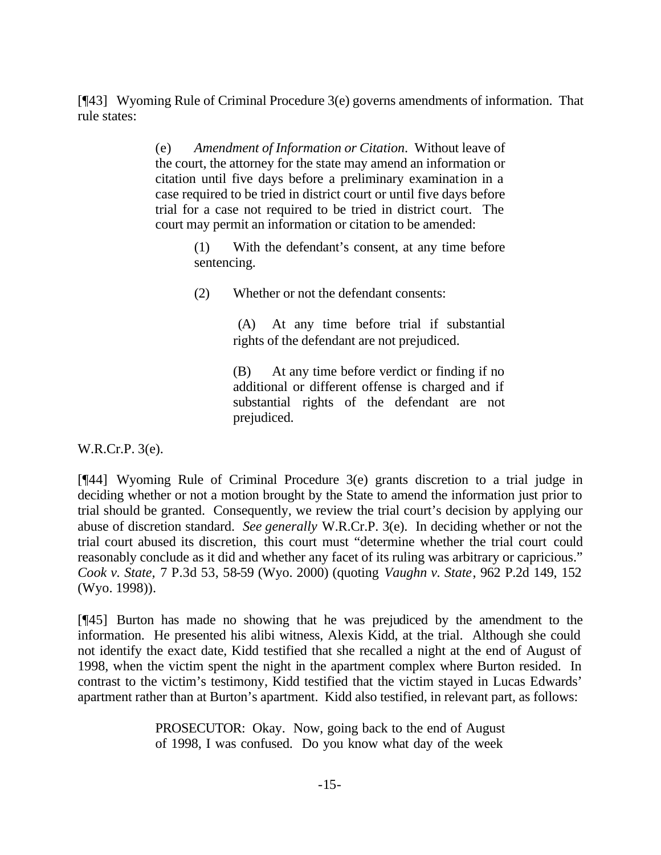[¶43] Wyoming Rule of Criminal Procedure 3(e) governs amendments of information. That rule states:

> (e) *Amendment of Information or Citation*. Without leave of the court, the attorney for the state may amend an information or citation until five days before a preliminary examination in a case required to be tried in district court or until five days before trial for a case not required to be tried in district court. The court may permit an information or citation to be amended:

> > (1) With the defendant's consent, at any time before sentencing.

(2) Whether or not the defendant consents:

(A) At any time before trial if substantial rights of the defendant are not prejudiced.

(B) At any time before verdict or finding if no additional or different offense is charged and if substantial rights of the defendant are not prejudiced.

W.R.Cr.P. 3(e).

[¶44] Wyoming Rule of Criminal Procedure 3(e) grants discretion to a trial judge in deciding whether or not a motion brought by the State to amend the information just prior to trial should be granted. Consequently, we review the trial court's decision by applying our abuse of discretion standard. *See generally* W.R.Cr.P. 3(e). In deciding whether or not the trial court abused its discretion, this court must "determine whether the trial court could reasonably conclude as it did and whether any facet of its ruling was arbitrary or capricious." *Cook v. State,* 7 P.3d 53, 58-59 (Wyo. 2000) (quoting *Vaughn v. State*, 962 P.2d 149, 152 (Wyo. 1998)).

[¶45] Burton has made no showing that he was prejudiced by the amendment to the information. He presented his alibi witness, Alexis Kidd, at the trial. Although she could not identify the exact date, Kidd testified that she recalled a night at the end of August of 1998, when the victim spent the night in the apartment complex where Burton resided. In contrast to the victim's testimony, Kidd testified that the victim stayed in Lucas Edwards' apartment rather than at Burton's apartment. Kidd also testified, in relevant part, as follows:

> PROSECUTOR: Okay. Now, going back to the end of August of 1998, I was confused. Do you know what day of the week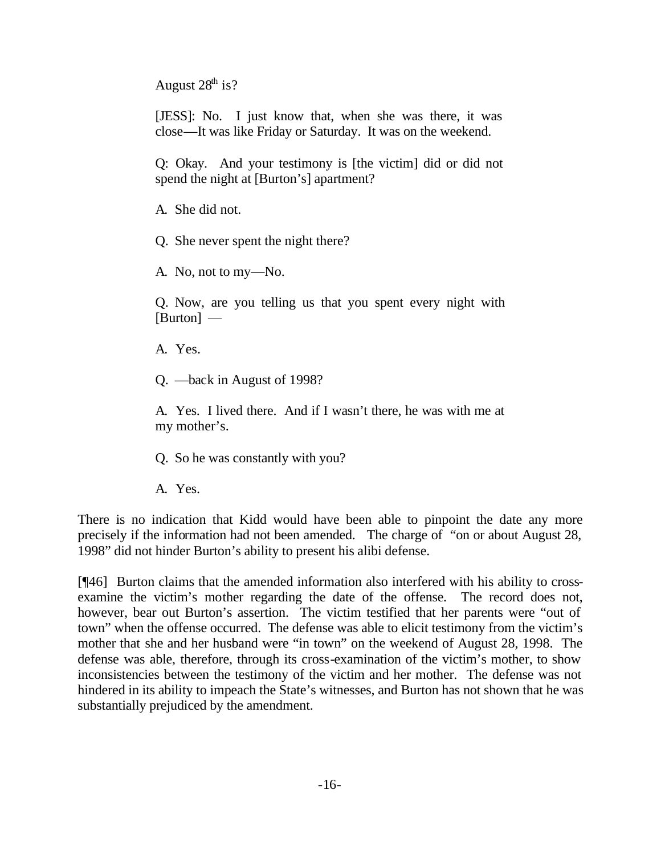August  $28<sup>th</sup>$  is?

[JESS]: No. I just know that, when she was there, it was close—It was like Friday or Saturday. It was on the weekend.

Q: Okay. And your testimony is [the victim] did or did not spend the night at [Burton's] apartment?

A. She did not.

Q. She never spent the night there?

A. No, not to my—No.

Q. Now, are you telling us that you spent every night with [Burton] —

A. Yes.

Q. —back in August of 1998?

A. Yes. I lived there. And if I wasn't there, he was with me at my mother's.

Q. So he was constantly with you?

A. Yes.

There is no indication that Kidd would have been able to pinpoint the date any more precisely if the information had not been amended. The charge of "on or about August 28, 1998" did not hinder Burton's ability to present his alibi defense.

[¶46] Burton claims that the amended information also interfered with his ability to crossexamine the victim's mother regarding the date of the offense. The record does not, however, bear out Burton's assertion. The victim testified that her parents were "out of town" when the offense occurred. The defense was able to elicit testimony from the victim's mother that she and her husband were "in town" on the weekend of August 28, 1998. The defense was able, therefore, through its cross-examination of the victim's mother, to show inconsistencies between the testimony of the victim and her mother. The defense was not hindered in its ability to impeach the State's witnesses, and Burton has not shown that he was substantially prejudiced by the amendment.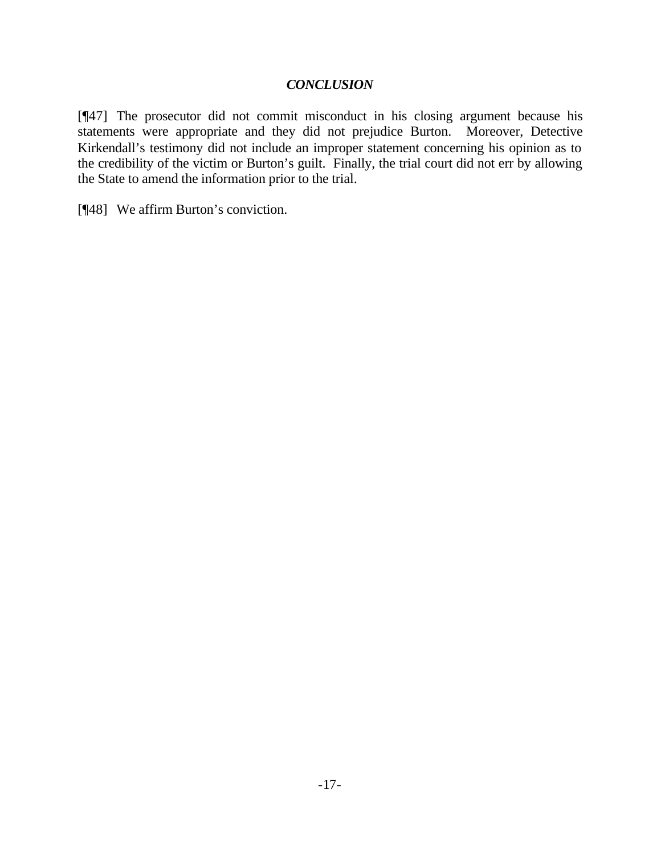#### *CONCLUSION*

[¶47] The prosecutor did not commit misconduct in his closing argument because his statements were appropriate and they did not prejudice Burton. Moreover, Detective Kirkendall's testimony did not include an improper statement concerning his opinion as to the credibility of the victim or Burton's guilt. Finally, the trial court did not err by allowing the State to amend the information prior to the trial.

[¶48] We affirm Burton's conviction.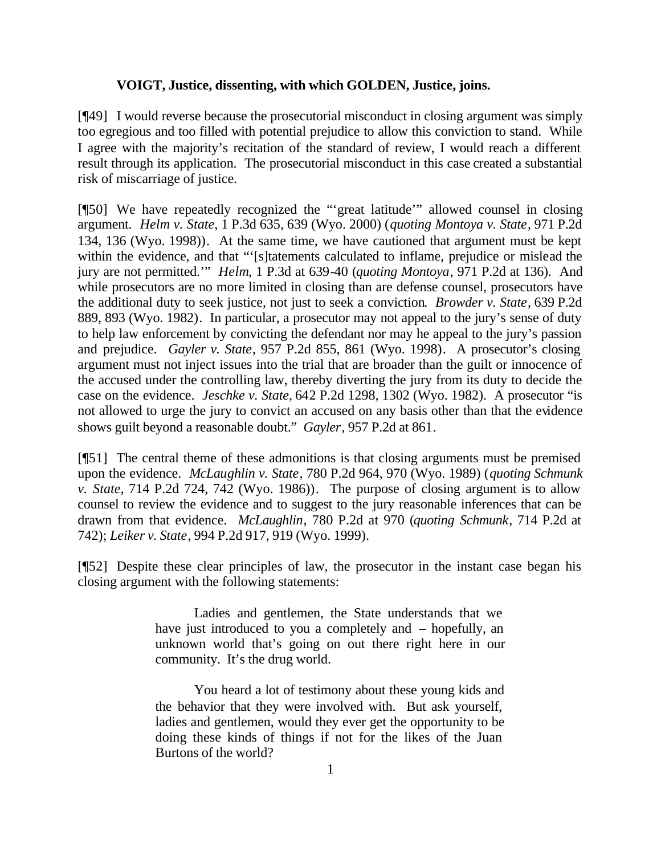#### **VOIGT, Justice, dissenting, with which GOLDEN, Justice, joins.**

[¶49] I would reverse because the prosecutorial misconduct in closing argument was simply too egregious and too filled with potential prejudice to allow this conviction to stand. While I agree with the majority's recitation of the standard of review, I would reach a different result through its application. The prosecutorial misconduct in this case created a substantial risk of miscarriage of justice.

[¶50] We have repeatedly recognized the "'great latitude'" allowed counsel in closing argument. *Helm v. State*, 1 P.3d 635, 639 (Wyo. 2000) (*quoting Montoya v. State*, 971 P.2d 134, 136 (Wyo. 1998)). At the same time, we have cautioned that argument must be kept within the evidence, and that "'[s]tatements calculated to inflame, prejudice or mislead the jury are not permitted.'" *Helm*, 1 P.3d at 639-40 (*quoting Montoya*, 971 P.2d at 136). And while prosecutors are no more limited in closing than are defense counsel, prosecutors have the additional duty to seek justice, not just to seek a conviction. *Browder v. State*, 639 P.2d 889, 893 (Wyo. 1982). In particular, a prosecutor may not appeal to the jury's sense of duty to help law enforcement by convicting the defendant nor may he appeal to the jury's passion and prejudice. *Gayler v. State*, 957 P.2d 855, 861 (Wyo. 1998). A prosecutor's closing argument must not inject issues into the trial that are broader than the guilt or innocence of the accused under the controlling law, thereby diverting the jury from its duty to decide the case on the evidence. *Jeschke v. State*, 642 P.2d 1298, 1302 (Wyo. 1982). A prosecutor "is not allowed to urge the jury to convict an accused on any basis other than that the evidence shows guilt beyond a reasonable doubt." *Gayler*, 957 P.2d at 861.

[¶51] The central theme of these admonitions is that closing arguments must be premised upon the evidence. *McLaughlin v. State*, 780 P.2d 964, 970 (Wyo. 1989) (*quoting Schmunk v. State*, 714 P.2d 724, 742 (Wyo. 1986)). The purpose of closing argument is to allow counsel to review the evidence and to suggest to the jury reasonable inferences that can be drawn from that evidence. *McLaughlin*, 780 P.2d at 970 (*quoting Schmunk*, 714 P.2d at 742); *Leiker v. State*, 994 P.2d 917, 919 (Wyo. 1999).

[¶52] Despite these clear principles of law, the prosecutor in the instant case began his closing argument with the following statements:

> Ladies and gentlemen, the State understands that we have just introduced to you a completely and – hopefully, an unknown world that's going on out there right here in our community. It's the drug world.

> You heard a lot of testimony about these young kids and the behavior that they were involved with. But ask yourself, ladies and gentlemen, would they ever get the opportunity to be doing these kinds of things if not for the likes of the Juan Burtons of the world?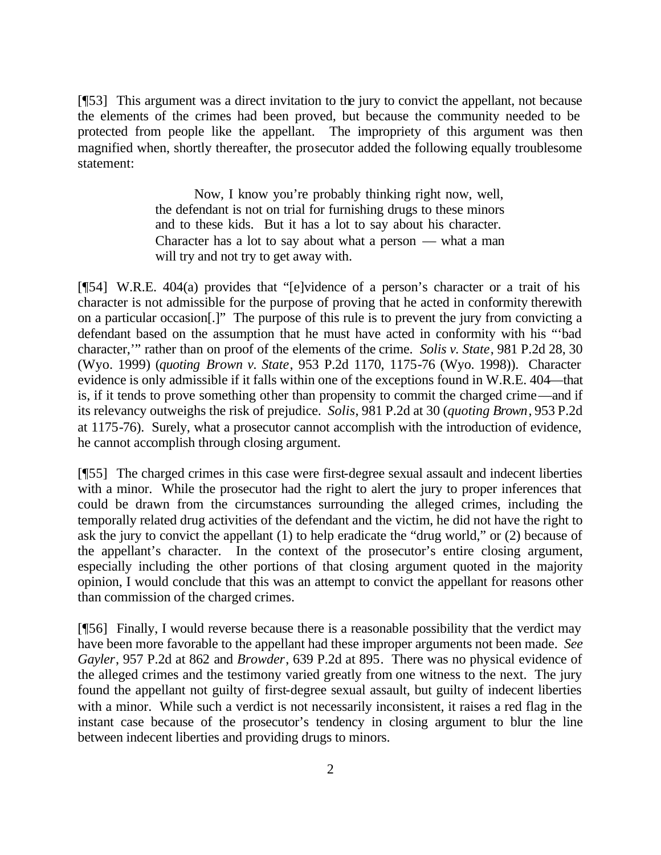[¶53] This argument was a direct invitation to the jury to convict the appellant, not because the elements of the crimes had been proved, but because the community needed to be protected from people like the appellant. The impropriety of this argument was then magnified when, shortly thereafter, the prosecutor added the following equally troublesome statement:

> Now, I know you're probably thinking right now, well, the defendant is not on trial for furnishing drugs to these minors and to these kids. But it has a lot to say about his character. Character has a lot to say about what a person — what a man will try and not try to get away with.

[¶54] W.R.E. 404(a) provides that "[e]vidence of a person's character or a trait of his character is not admissible for the purpose of proving that he acted in conformity therewith on a particular occasion[.]" The purpose of this rule is to prevent the jury from convicting a defendant based on the assumption that he must have acted in conformity with his "'bad character,'" rather than on proof of the elements of the crime. *Solis v. State*, 981 P.2d 28, 30 (Wyo. 1999) (*quoting Brown v. State*, 953 P.2d 1170, 1175-76 (Wyo. 1998)). Character evidence is only admissible if it falls within one of the exceptions found in W.R.E. 404—that is, if it tends to prove something other than propensity to commit the charged crime—and if its relevancy outweighs the risk of prejudice. *Solis*, 981 P.2d at 30 (*quoting Brown*, 953 P.2d at 1175-76). Surely, what a prosecutor cannot accomplish with the introduction of evidence, he cannot accomplish through closing argument.

[¶55] The charged crimes in this case were first-degree sexual assault and indecent liberties with a minor. While the prosecutor had the right to alert the jury to proper inferences that could be drawn from the circumstances surrounding the alleged crimes, including the temporally related drug activities of the defendant and the victim, he did not have the right to ask the jury to convict the appellant (1) to help eradicate the "drug world," or (2) because of the appellant's character. In the context of the prosecutor's entire closing argument, especially including the other portions of that closing argument quoted in the majority opinion, I would conclude that this was an attempt to convict the appellant for reasons other than commission of the charged crimes.

[¶56] Finally, I would reverse because there is a reasonable possibility that the verdict may have been more favorable to the appellant had these improper arguments not been made. *See Gayler*, 957 P.2d at 862 and *Browder*, 639 P.2d at 895. There was no physical evidence of the alleged crimes and the testimony varied greatly from one witness to the next. The jury found the appellant not guilty of first-degree sexual assault, but guilty of indecent liberties with a minor. While such a verdict is not necessarily inconsistent, it raises a red flag in the instant case because of the prosecutor's tendency in closing argument to blur the line between indecent liberties and providing drugs to minors.